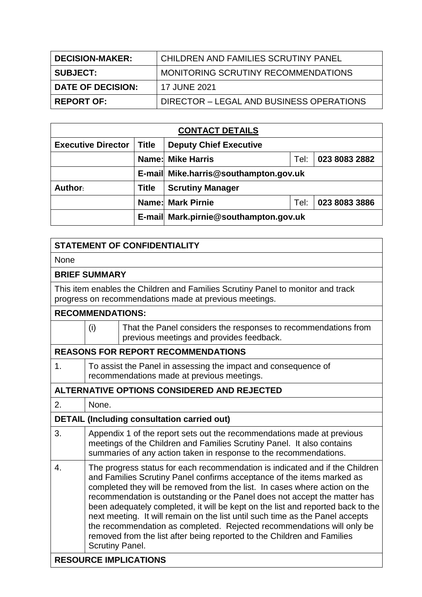| <b>DECISION-MAKER:</b> | CHILDREN AND FAMILIES SCRUTINY PANEL     |
|------------------------|------------------------------------------|
| <b>SUBJECT:</b>        | MONITORING SCRUTINY RECOMMENDATIONS      |
| DATE OF DECISION:      | 17 JUNE 2021                             |
| <b>REPORT OF:</b>      | DIRECTOR - LEGAL AND BUSINESS OPERATIONS |

| <b>CONTACT DETAILS</b>    |              |                                       |      |               |  |  |  |  |
|---------------------------|--------------|---------------------------------------|------|---------------|--|--|--|--|
| <b>Executive Director</b> | <b>Title</b> | <b>Deputy Chief Executive</b>         |      |               |  |  |  |  |
|                           |              | <b>Name: Mike Harris</b>              | Tel: | 023 8083 2882 |  |  |  |  |
|                           |              | E-mail Mike.harris@southampton.gov.uk |      |               |  |  |  |  |
| Author:                   | <b>Title</b> | <b>Scrutiny Manager</b>               |      |               |  |  |  |  |
|                           |              | <b>Name: Mark Pirnie</b>              | Tel: | 023 8083 3886 |  |  |  |  |
|                           |              | E-mail Mark.pirnie@southampton.gov.uk |      |               |  |  |  |  |

| <b>STATEMENT OF CONFIDENTIALITY</b>                                                                                                       |                                                                                                                                                                                                                                                                                                                                                                                                                                                                                                                                                                                                                                                                      |                                                                                                            |  |  |  |  |
|-------------------------------------------------------------------------------------------------------------------------------------------|----------------------------------------------------------------------------------------------------------------------------------------------------------------------------------------------------------------------------------------------------------------------------------------------------------------------------------------------------------------------------------------------------------------------------------------------------------------------------------------------------------------------------------------------------------------------------------------------------------------------------------------------------------------------|------------------------------------------------------------------------------------------------------------|--|--|--|--|
| None                                                                                                                                      |                                                                                                                                                                                                                                                                                                                                                                                                                                                                                                                                                                                                                                                                      |                                                                                                            |  |  |  |  |
| <b>BRIEF SUMMARY</b>                                                                                                                      |                                                                                                                                                                                                                                                                                                                                                                                                                                                                                                                                                                                                                                                                      |                                                                                                            |  |  |  |  |
| This item enables the Children and Families Scrutiny Panel to monitor and track<br>progress on recommendations made at previous meetings. |                                                                                                                                                                                                                                                                                                                                                                                                                                                                                                                                                                                                                                                                      |                                                                                                            |  |  |  |  |
|                                                                                                                                           | <b>RECOMMENDATIONS:</b>                                                                                                                                                                                                                                                                                                                                                                                                                                                                                                                                                                                                                                              |                                                                                                            |  |  |  |  |
|                                                                                                                                           | (i)                                                                                                                                                                                                                                                                                                                                                                                                                                                                                                                                                                                                                                                                  | That the Panel considers the responses to recommendations from<br>previous meetings and provides feedback. |  |  |  |  |
|                                                                                                                                           |                                                                                                                                                                                                                                                                                                                                                                                                                                                                                                                                                                                                                                                                      | <b>REASONS FOR REPORT RECOMMENDATIONS</b>                                                                  |  |  |  |  |
| 1.                                                                                                                                        | To assist the Panel in assessing the impact and consequence of<br>recommendations made at previous meetings.                                                                                                                                                                                                                                                                                                                                                                                                                                                                                                                                                         |                                                                                                            |  |  |  |  |
|                                                                                                                                           |                                                                                                                                                                                                                                                                                                                                                                                                                                                                                                                                                                                                                                                                      | <b>ALTERNATIVE OPTIONS CONSIDERED AND REJECTED</b>                                                         |  |  |  |  |
| 2.                                                                                                                                        | None.                                                                                                                                                                                                                                                                                                                                                                                                                                                                                                                                                                                                                                                                |                                                                                                            |  |  |  |  |
|                                                                                                                                           |                                                                                                                                                                                                                                                                                                                                                                                                                                                                                                                                                                                                                                                                      | <b>DETAIL (Including consultation carried out)</b>                                                         |  |  |  |  |
| 3.                                                                                                                                        | Appendix 1 of the report sets out the recommendations made at previous<br>meetings of the Children and Families Scrutiny Panel. It also contains<br>summaries of any action taken in response to the recommendations.                                                                                                                                                                                                                                                                                                                                                                                                                                                |                                                                                                            |  |  |  |  |
| $\overline{4}$ .                                                                                                                          | The progress status for each recommendation is indicated and if the Children<br>and Families Scrutiny Panel confirms acceptance of the items marked as<br>completed they will be removed from the list. In cases where action on the<br>recommendation is outstanding or the Panel does not accept the matter has<br>been adequately completed, it will be kept on the list and reported back to the<br>next meeting. It will remain on the list until such time as the Panel accepts<br>the recommendation as completed. Rejected recommendations will only be<br>removed from the list after being reported to the Children and Families<br><b>Scrutiny Panel.</b> |                                                                                                            |  |  |  |  |
| <b>RESOURCE IMPLICATIONS</b>                                                                                                              |                                                                                                                                                                                                                                                                                                                                                                                                                                                                                                                                                                                                                                                                      |                                                                                                            |  |  |  |  |